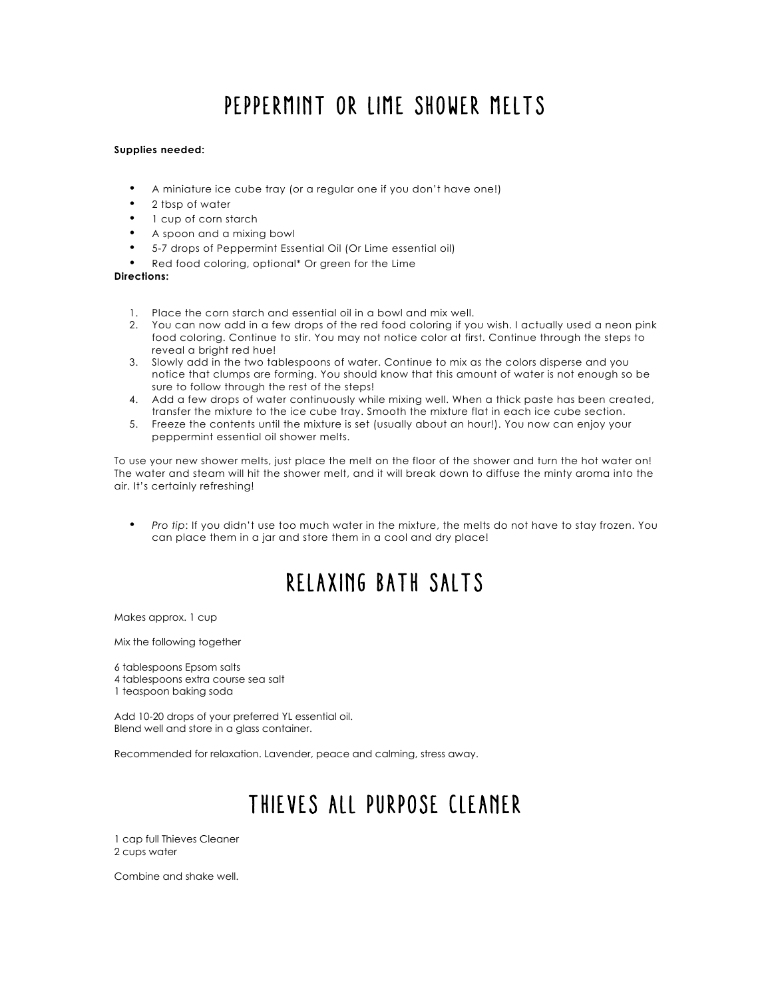# Peppermint Or Lime Shower Melts

### **Supplies needed:**

- A miniature ice cube tray (or a regular one if you don't have one!)
- 2 tbsp of water
- 1 cup of corn starch
- A spoon and a mixing bowl
- 5-7 drops of Peppermint Essential Oil (Or Lime essential oil)
- Red food coloring, optional\* Or green for the Lime

### **Directions:**

- 1. Place the corn starch and essential oil in a bowl and mix well.
- 2. You can now add in a few drops of the red food coloring if you wish. I actually used a neon pink food coloring. Continue to stir. You may not notice color at first. Continue through the steps to reveal a bright red hue!
- 3. Slowly add in the two tablespoons of water. Continue to mix as the colors disperse and you notice that clumps are forming. You should know that this amount of water is not enough so be sure to follow through the rest of the steps!
- 4. Add a few drops of water continuously while mixing well. When a thick paste has been created, transfer the mixture to the ice cube tray. Smooth the mixture flat in each ice cube section.
- 5. Freeze the contents until the mixture is set (usually about an hour!). You now can enjoy your peppermint essential oil shower melts.

To use your new shower melts, just place the melt on the floor of the shower and turn the hot water on! The water and steam will hit the shower melt, and it will break down to diffuse the minty aroma into the air. It's certainly refreshing!

• *Pro tip*: If you didn't use too much water in the mixture, the melts do not have to stay frozen. You can place them in a jar and store them in a cool and dry place!

### Relaxing Bath Salts

Makes approx. 1 cup

Mix the following together

6 tablespoons Epsom salts

- 4 tablespoons extra course sea salt
- 1 teaspoon baking soda

Add 10-20 drops of your preferred YL essential oil. Blend well and store in a glass container.

Recommended for relaxation. Lavender, peace and calming, stress away.

# Thieves All Purpose Cleaner

1 cap full Thieves Cleaner 2 cups water

Combine and shake well.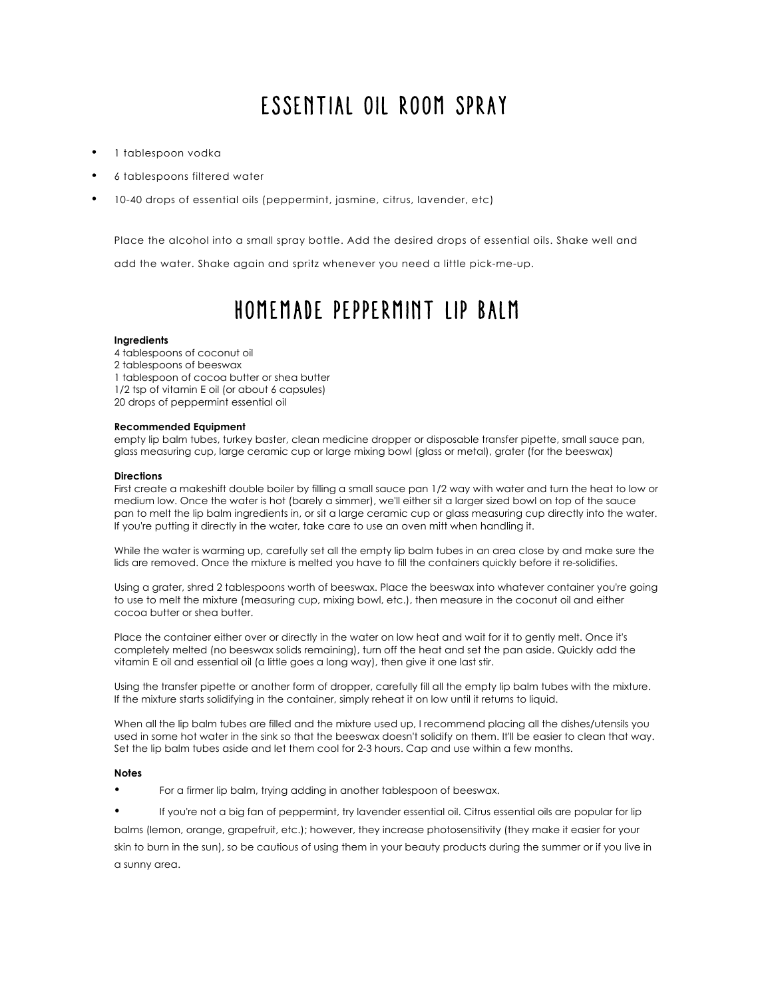## Essential Oil Room Spray

- 1 tablespoon vodka
- 6 tablespoons filtered water
- 10-40 drops of essential oils (peppermint, jasmine, citrus, lavender, etc)

Place the alcohol into a small spray bottle. Add the desired drops of essential oils. Shake well and

add the water. Shake again and spritz whenever you need a little pick-me-up.

## Homemade Peppermint Lip Balm

#### **Ingredients**

- 4 tablespoons of coconut oil
- 2 tablespoons of beeswax
- 1 tablespoon of cocoa butter or shea butter
- 1/2 tsp of vitamin E oil (or about 6 capsules)
- 20 drops of peppermint essential oil

### **Recommended Equipment**

empty lip balm tubes, turkey baster, clean medicine dropper or disposable transfer pipette, small sauce pan, glass measuring cup, large ceramic cup or large mixing bowl (glass or metal), grater (for the beeswax)

#### **Directions**

First create a makeshift double boiler by filling a small sauce pan 1/2 way with water and turn the heat to low or medium low. Once the water is hot (barely a simmer), we'll either sit a larger sized bowl on top of the sauce pan to melt the lip balm ingredients in, or sit a large ceramic cup or glass measuring cup directly into the water. If you're putting it directly in the water, take care to use an oven mitt when handling it.

While the water is warming up, carefully set all the empty lip balm tubes in an area close by and make sure the lids are removed. Once the mixture is melted you have to fill the containers quickly before it re-solidifies.

Using a grater, shred 2 tablespoons worth of beeswax. Place the beeswax into whatever container you're going to use to melt the mixture (measuring cup, mixing bowl, etc.), then measure in the coconut oil and either cocoa butter or shea butter.

Place the container either over or directly in the water on low heat and wait for it to gently melt. Once it's completely melted (no beeswax solids remaining), turn off the heat and set the pan aside. Quickly add the vitamin E oil and essential oil (a little goes a long way), then give it one last stir.

Using the transfer pipette or another form of dropper, carefully fill all the empty lip balm tubes with the mixture. If the mixture starts solidifying in the container, simply reheat it on low until it returns to liquid.

When all the lip balm tubes are filled and the mixture used up, I recommend placing all the dishes/utensils you used in some hot water in the sink so that the beeswax doesn't solidify on them. It'll be easier to clean that way. Set the lip balm tubes aside and let them cool for 2-3 hours. Cap and use within a few months.

### **Notes**

- For a firmer lip balm, trying adding in another tablespoon of beeswax.
- If you're not a big fan of peppermint, try lavender essential oil. Citrus essential oils are popular for lip

balms (lemon, orange, grapefruit, etc.); however, they increase photosensitivity (they make it easier for your skin to burn in the sun), so be cautious of using them in your beauty products during the summer or if you live in a sunny area.